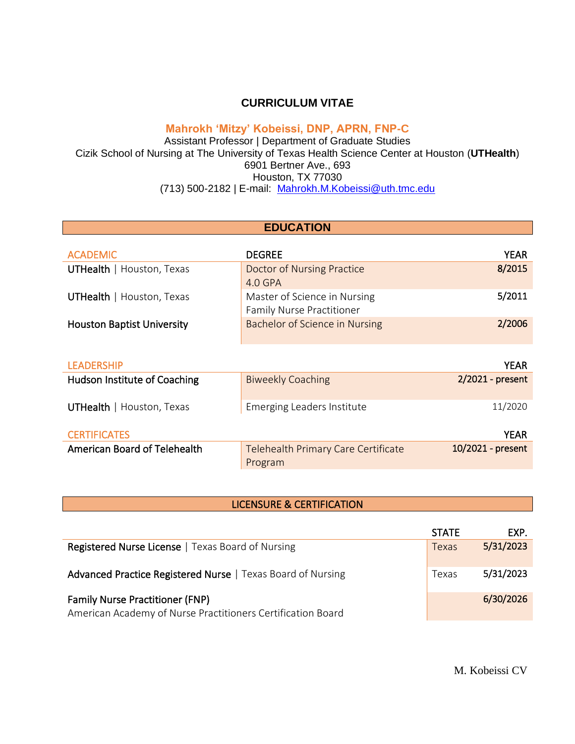### **CURRICULUM VITAE**

## **Mahrokh 'Mitzy' Kobeissi, DNP, APRN, FNP-C**

Assistant Professor | Department of Graduate Studies Cizik School of Nursing at The University of Texas Health Science Center at Houston (**UTHealth**) 6901 Bertner Ave., 693 Houston, TX 77030 (713) 500-2182 | E-mail: [Mahrokh.M.Kobeissi@uth.tmc.edu](mailto:Mahrokh.M.Kobeissi@uth.tmc.edu)

| <b>EDUCATION</b>                    |                                                |                    |
|-------------------------------------|------------------------------------------------|--------------------|
|                                     |                                                |                    |
| <b>ACADEMIC</b>                     | <b>DEGREE</b>                                  | <b>YEAR</b>        |
| <b>UTHealth</b>   Houston, Texas    | Doctor of Nursing Practice                     | 8/2015             |
|                                     | $4.0$ GPA                                      |                    |
| <b>UTHealth</b>   Houston, Texas    | Master of Science in Nursing                   | 5/2011             |
|                                     | <b>Family Nurse Practitioner</b>               |                    |
| <b>Houston Baptist University</b>   | Bachelor of Science in Nursing                 | 2/2006             |
|                                     |                                                |                    |
| <b>LEADERSHIP</b>                   |                                                | <b>YEAR</b>        |
| <b>Hudson Institute of Coaching</b> | <b>Biweekly Coaching</b>                       | $2/2021$ - present |
| <b>UTHealth</b>   Houston, Texas    | Emerging Leaders Institute                     | 11/2020            |
| <b>CERTIFICATES</b>                 |                                                | <b>YEAR</b>        |
| American Board of Telehealth        | Telehealth Primary Care Certificate<br>Program | 10/2021 - present  |

#### LICENSURE & CERTIFICATION

|                                                             | <b>STATE</b> | EXP.      |
|-------------------------------------------------------------|--------------|-----------|
| <b>Registered Nurse License</b>   Texas Board of Nursing    | Texas        | 5/31/2023 |
| Advanced Practice Registered Nurse   Texas Board of Nursing | Texas        | 5/31/2023 |
| <b>Family Nurse Practitioner (FNP)</b>                      |              | 6/30/2026 |
| American Academy of Nurse Practitioners Certification Board |              |           |

M. Kobeissi CV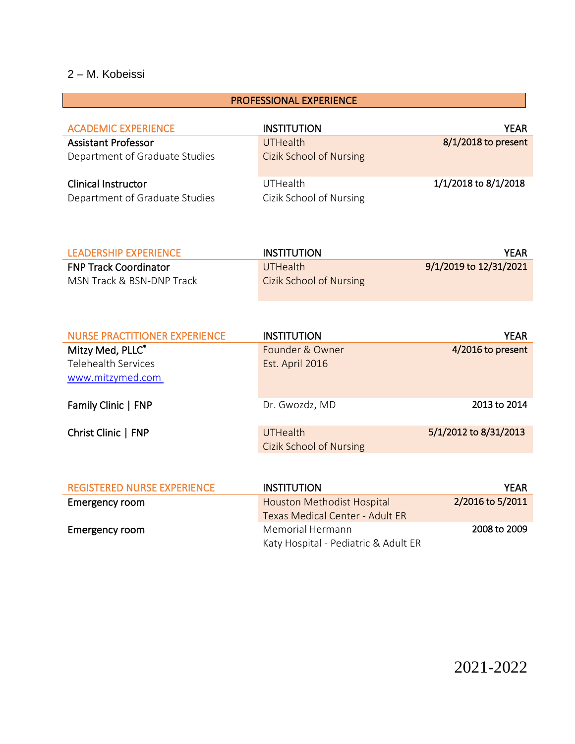| <b>PROFESSIONAL EXPERIENCE</b>                               |                                     |                      |
|--------------------------------------------------------------|-------------------------------------|----------------------|
| <b>ACADEMIC EXPERIENCE</b>                                   | <b>INSTITUTION</b>                  | <b>YEAR</b>          |
| <b>Assistant Professor</b>                                   | <b>UTHealth</b>                     | 8/1/2018 to present  |
| Department of Graduate Studies                               | <b>Cizik School of Nursing</b>      |                      |
| <b>Clinical Instructor</b><br>Department of Graduate Studies | UTHealth<br>Cizik School of Nursing | 1/1/2018 to 8/1/2018 |

| LEADERSHIP EXPERIENCE        | INSTITUTION                    | YEAR                   |
|------------------------------|--------------------------------|------------------------|
| <b>FNP Track Coordinator</b> | <b>UTHealth</b>                | 9/1/2019 to 12/31/2021 |
| MSN Track & BSN-DNP Track    | <b>Cizik School of Nursing</b> |                        |

| <b>NURSE PRACTITIONER EXPERIENCE</b> | <b>INSTITUTION</b>             | YEAR                  |
|--------------------------------------|--------------------------------|-----------------------|
| Mitzy Med, PLLC <sup>®</sup>         | Founder & Owner                | 4/2016 to present     |
| <b>Telehealth Services</b>           | Est. April 2016                |                       |
| www.mitzymed.com                     |                                |                       |
|                                      |                                |                       |
| Family Clinic   FNP                  | Dr. Gwozdz, MD                 | 2013 to 2014          |
|                                      |                                |                       |
| Christ Clinic   FNP                  | <b>UTHealth</b>                | 5/1/2012 to 8/31/2013 |
|                                      | <b>Cizik School of Nursing</b> |                       |

| <b>REGISTERED NURSE EXPERIENCE</b> | <b>INSTITUTION</b>                   | <b>YEAR</b>      |
|------------------------------------|--------------------------------------|------------------|
| Emergency room                     | <b>Houston Methodist Hospital</b>    | 2/2016 to 5/2011 |
|                                    | Texas Medical Center - Adult ER      |                  |
| Emergency room                     | Memorial Hermann                     | 2008 to 2009     |
|                                    | Katy Hospital - Pediatric & Adult ER |                  |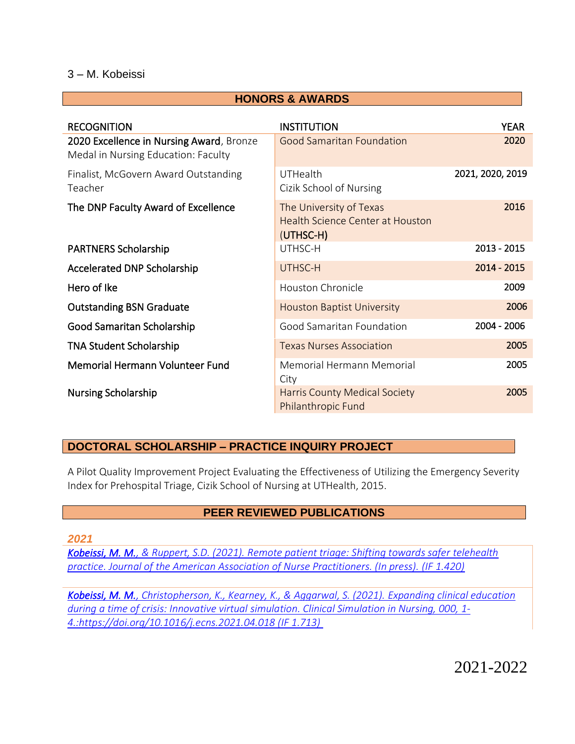#### **HONORS & AWARDS**

| <b>RECOGNITION</b>                                                              | <b>INSTITUTION</b>                                                              | <b>YEAR</b>      |
|---------------------------------------------------------------------------------|---------------------------------------------------------------------------------|------------------|
| 2020 Excellence in Nursing Award, Bronze<br>Medal in Nursing Education: Faculty | <b>Good Samaritan Foundation</b>                                                | 2020             |
| Finalist, McGovern Award Outstanding<br>Teacher                                 | UTHealth<br>Cizik School of Nursing                                             | 2021, 2020, 2019 |
| The DNP Faculty Award of Excellence                                             | The University of Texas<br><b>Health Science Center at Houston</b><br>(UTHSC-H) | 2016             |
| <b>PARTNERS Scholarship</b>                                                     | UTHSC-H                                                                         | 2013 - 2015      |
| Accelerated DNP Scholarship                                                     | UTHSC-H                                                                         | 2014 - 2015      |
| Hero of Ike                                                                     | Houston Chronicle                                                               | 2009             |
| <b>Outstanding BSN Graduate</b>                                                 | <b>Houston Baptist University</b>                                               | 2006             |
| Good Samaritan Scholarship                                                      | Good Samaritan Foundation                                                       | 2004 - 2006      |
| <b>TNA Student Scholarship</b>                                                  | <b>Texas Nurses Association</b>                                                 | 2005             |
| <b>Memorial Hermann Volunteer Fund</b>                                          | Memorial Hermann Memorial<br>City                                               | 2005             |
| <b>Nursing Scholarship</b>                                                      | <b>Harris County Medical Society</b><br><b>Philanthropic Fund</b>               | 2005             |

## **DOCTORAL SCHOLARSHIP – PRACTICE INQUIRY PROJECT**

A Pilot Quality Improvement Project Evaluating the Effectiveness of Utilizing the Emergency Severity Index for Prehospital Triage, Cizik School of Nursing at UTHealth, 2015.

#### **PEER REVIEWED PUBLICATIONS**

*2021*

*[Kobeissi, M. M., & Ruppert, S.D. \(2021\). Remote patient triage: Shifting towards safer telehealth](https://1drv.ms/b/s!AvSyp2tB8oSmgec61U8Xu4ySQ8M4HQ?e=JEfqA8)  [practice. Journal of the American Association of Nurse Practitioners. \(In press\).](https://1drv.ms/b/s!AvSyp2tB8oSmgec61U8Xu4ySQ8M4HQ?e=JEfqA8) (IF 1.420)*

*[Kobeissi, M. M., Christopherson, K., Kearney, K., & Aggarwal, S. \(2021\).](https://1drv.ms/b/s!AvSyp2tB8oSmgec7XjA6A5mTlMZNAQ?e=5xGYOc) Expanding clinical education [during a time of crisis: Innovative virtual simulation.](https://1drv.ms/b/s!AvSyp2tB8oSmgec7XjA6A5mTlMZNAQ?e=5xGYOc) Clinical Simulation in Nursing, 000, 1- [4.:https://doi.org/10.1016/j.ecns.2021.04.018 \(IF 1.713\)](https://1drv.ms/b/s!AvSyp2tB8oSmgec7XjA6A5mTlMZNAQ?e=5xGYOc)*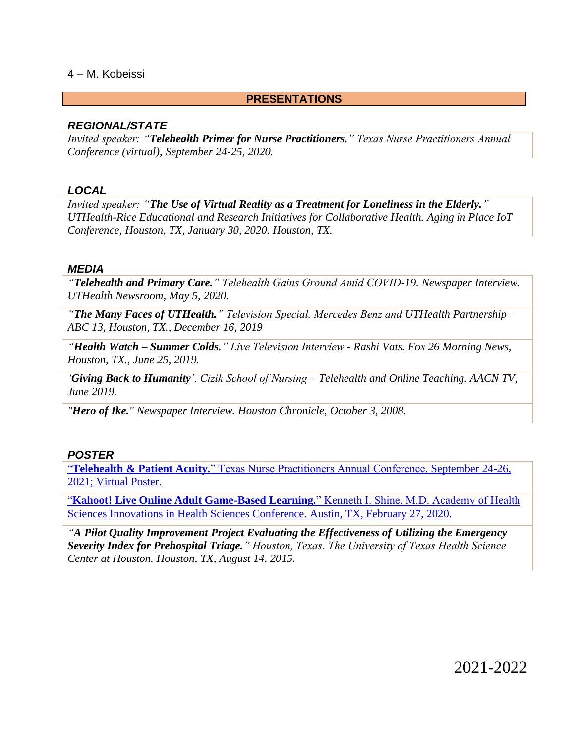#### **PRESENTATIONS**

#### *REGIONAL/STATE*

*Invited speaker: "Telehealth Primer for Nurse Practitioners." Texas Nurse Practitioners Annual Conference (virtual), September 24-25, 2020.*

#### *LOCAL*

*Invited speaker: "The Use of Virtual Reality as a Treatment for Loneliness in the Elderly." UTHealth-Rice Educational and Research Initiatives for Collaborative Health. Aging in Place IoT Conference, Houston, TX, January 30, 2020. Houston, TX.*

#### *MEDIA*

*"Telehealth and Primary Care." Telehealth Gains Ground Amid COVID-19. Newspaper Interview. UTHealth Newsroom, May 5, 2020.*

*"The Many Faces of UTHealth." Television Special. Mercedes Benz and UTHealth Partnership – ABC 13, Houston, TX., December 16, 2019*

*"Health Watch – Summer Colds." Live Television Interview - Rashi Vats. Fox 26 Morning News, Houston, TX., June 25, 2019.*

*'Giving Back to Humanity'. Cizik School of Nursing – Telehealth and Online Teaching. AACN TV, June 2019.* 

*"Hero of Ike." Newspaper Interview. Houston Chronicle, October 3, 2008.*

#### *POSTER*

"**Telehealth & Patient Acuity.**[" Texas Nurse Practitioners Annual Conference.](https://1drv.ms/b/s!AvSyp2tB8oSmgec8934iVcrl5AezPQ?e=0nZ9oK) September 24-26, [2021; Virtual Poster.](https://1drv.ms/b/s!AvSyp2tB8oSmgec8934iVcrl5AezPQ?e=0nZ9oK)

"**[Kahoot! Live Online Adult Game-Based Learning.](https://1drv.ms/b/s!AvSyp2tB8oSmgec-R4U8Ao89l7s9TQ?e=Ak8XmZ)**" Kenneth I. Shine, M.D. Academy of Health [Sciences Innovations in Health Sciences Conference. Austin, TX, February 27, 2020.](https://1drv.ms/b/s!AvSyp2tB8oSmgec-R4U8Ao89l7s9TQ?e=Ak8XmZ)

*"A Pilot Quality Improvement Project Evaluating the Effectiveness of Utilizing the Emergency Severity Index for Prehospital Triage." Houston, Texas. The University of Texas Health Science Center at Houston. Houston, TX, August 14, 2015.*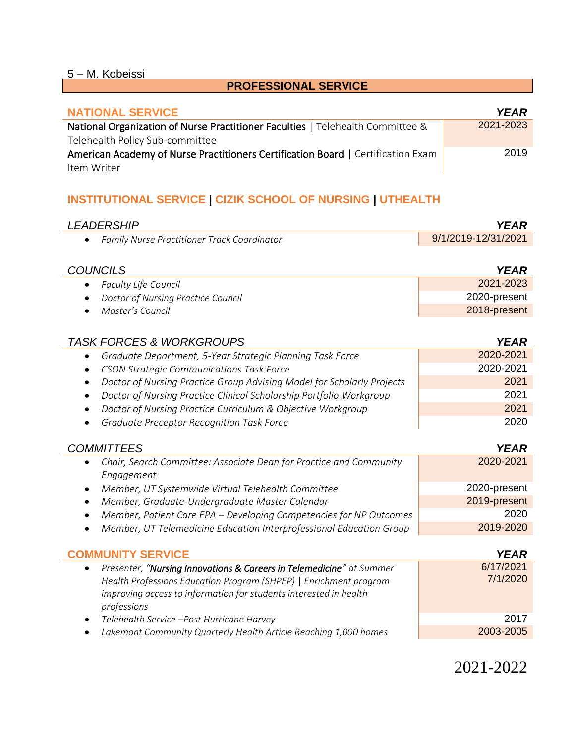## **PROFESSIONAL SERVICE**

| <b>NATIONAL SERVICE</b>                                                          | YEAR      |
|----------------------------------------------------------------------------------|-----------|
| National Organization of Nurse Practitioner Faculties   Telehealth Committee &   | 2021-2023 |
| Telehealth Policy Sub-committee                                                  |           |
| American Academy of Nurse Practitioners Certification Board   Certification Exam | 2019      |
| Item Writer                                                                      |           |

## **INSTITUTIONAL SERVICE | CIZIK SCHOOL OF NURSING | UTHEALTH**

| <b>LEADERSHIP</b>                                                                | <b>YEAR</b>         |
|----------------------------------------------------------------------------------|---------------------|
| Family Nurse Practitioner Track Coordinator<br>$\bullet$                         | 9/1/2019-12/31/2021 |
|                                                                                  |                     |
| <b>COUNCILS</b>                                                                  | <b>YEAR</b>         |
| <b>Faculty Life Council</b><br>$\bullet$                                         | 2021-2023           |
| Doctor of Nursing Practice Council<br>٠                                          | 2020-present        |
| Master's Council<br>٠                                                            | 2018-present        |
|                                                                                  |                     |
| <b>TASK FORCES &amp; WORKGROUPS</b><br><b>YEAR</b>                               |                     |
| Graduate Department, 5-Year Strategic Planning Task Force<br>$\bullet$           | 2020-2021           |
| <b>CSON Strategic Communications Task Force</b><br>$\bullet$                     | 2020-2021           |
| Doctor of Nursing Practice Group Advising Model for Scholarly Projects           | 2021                |
| Doctor of Nursing Practice Clinical Scholarship Portfolio Workgroup<br>$\bullet$ | 2021                |

- *Doctor of Nursing Practice Curriculum & Objective Workgroup* 2021
- *Graduate Preceptor Recognition Task Force* 2020

## *COMMITTEES YEAR*

|           | Chair, Search Committee: Associate Dean for Practice and Community  | 2020-2021    |
|-----------|---------------------------------------------------------------------|--------------|
|           | Engagement                                                          |              |
| $\bullet$ | Member, UT Systemwide Virtual Telehealth Committee                  | 2020-present |
|           | • Member, Graduate-Undergraduate Master Calendar                    | 2019-present |
|           | Member, Patient Care EPA - Developing Competencies for NP Outcomes  | 2020         |
|           | Member, UT Telemedicine Education Interprofessional Education Group | 2019-2020    |

| <b>COMMUNITY SERVICE</b>                                                                                                                                                                                                                   | <b>YEAR</b>           |
|--------------------------------------------------------------------------------------------------------------------------------------------------------------------------------------------------------------------------------------------|-----------------------|
| Presenter, "Nursing Innovations & Careers in Telemedicine" at Summer<br>$\bullet$<br>Health Professions Education Program (SHPEP)   Enrichment program<br>improving access to information for students interested in health<br>professions | 6/17/2021<br>7/1/2020 |
| Telehealth Service -Post Hurricane Harvey<br>$\bullet$                                                                                                                                                                                     | 2017                  |
| Lakemont Community Quarterly Health Article Reaching 1,000 homes<br>$\bullet$                                                                                                                                                              | 2003-2005             |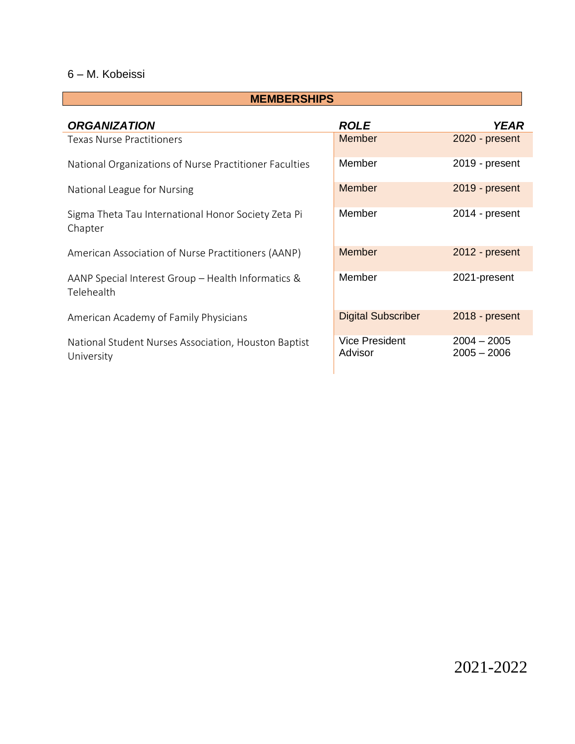### **MEMBERSHIPS**

| <b>ORGANIZATION</b>                                                | <b>ROLE</b>                      | <b>YEAR</b>                    |
|--------------------------------------------------------------------|----------------------------------|--------------------------------|
| <b>Texas Nurse Practitioners</b>                                   | <b>Member</b>                    | 2020 - present                 |
| National Organizations of Nurse Practitioner Faculties             | Member                           | 2019 - present                 |
| National League for Nursing                                        | <b>Member</b>                    | 2019 - present                 |
| Sigma Theta Tau International Honor Society Zeta Pi<br>Chapter     | Member                           | 2014 - present                 |
| American Association of Nurse Practitioners (AANP)                 | Member                           | 2012 - present                 |
| AANP Special Interest Group - Health Informatics &<br>Telehealth   | Member                           | 2021-present                   |
| American Academy of Family Physicians                              | <b>Digital Subscriber</b>        | 2018 - present                 |
| National Student Nurses Association, Houston Baptist<br>University | <b>Vice President</b><br>Advisor | $2004 - 2005$<br>$2005 - 2006$ |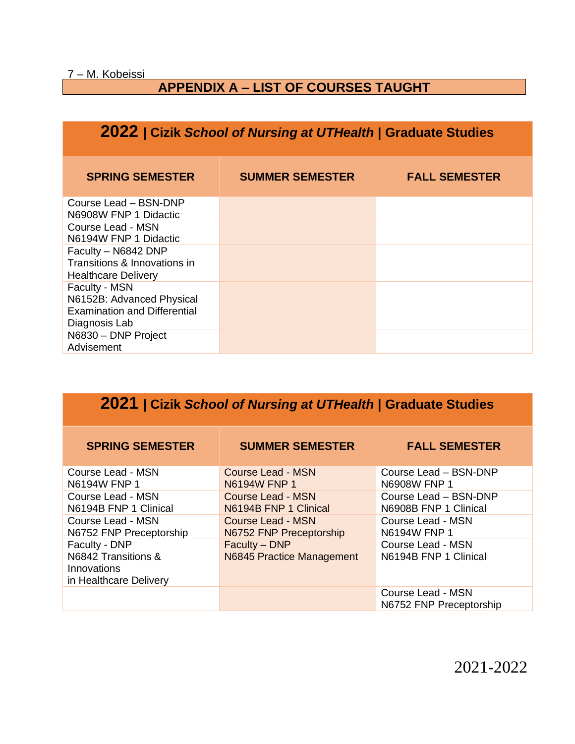## **APPENDIX A – LIST OF COURSES TAUGHT**

## **2022 | Cizik** *School of Nursing at UTHealth* **| Graduate Studies**

| <b>SPRING SEMESTER</b>                                                                             | <b>SUMMER SEMESTER</b> | <b>FALL SEMESTER</b> |
|----------------------------------------------------------------------------------------------------|------------------------|----------------------|
| Course Lead - BSN-DNP<br>N6908W FNP 1 Didactic                                                     |                        |                      |
| Course Lead - MSN<br>N6194W FNP 1 Didactic                                                         |                        |                      |
| Faculty - N6842 DNP<br>Transitions & Innovations in<br><b>Healthcare Delivery</b>                  |                        |                      |
| Faculty - MSN<br>N6152B: Advanced Physical<br><b>Examination and Differential</b><br>Diagnosis Lab |                        |                      |
| N6830 - DNP Project<br>Advisement                                                                  |                        |                      |

# **2021 | Cizik** *School of Nursing at UTHealth* **| Graduate Studies**

| <b>SPRING SEMESTER</b>                                                        | <b>SUMMER SEMESTER</b>                                            | <b>FALL SEMESTER</b>                                           |
|-------------------------------------------------------------------------------|-------------------------------------------------------------------|----------------------------------------------------------------|
| Course Lead - MSN                                                             | <b>Course Lead - MSN</b>                                          | Course Lead - BSN-DNP                                          |
| N6194W FNP 1<br>Course Lead - MSN<br>N6194B FNP 1 Clinical                    | N6194W FNP 1<br><b>Course Lead - MSN</b><br>N6194B FNP 1 Clinical | N6908W FNP 1<br>Course Lead - BSN-DNP<br>N6908B FNP 1 Clinical |
| Course Lead - MSN<br>N6752 FNP Preceptorship                                  | Course Lead - MSN<br>N6752 FNP Preceptorship                      | Course Lead - MSN<br>N6194W FNP 1                              |
| Faculty - DNP<br>N6842 Transitions &<br>Innovations<br>in Healthcare Delivery | Faculty - DNP<br>N6845 Practice Management                        | Course Lead - MSN<br>N6194B FNP 1 Clinical                     |
|                                                                               |                                                                   | Course Lead - MSN<br>N6752 FNP Preceptorship                   |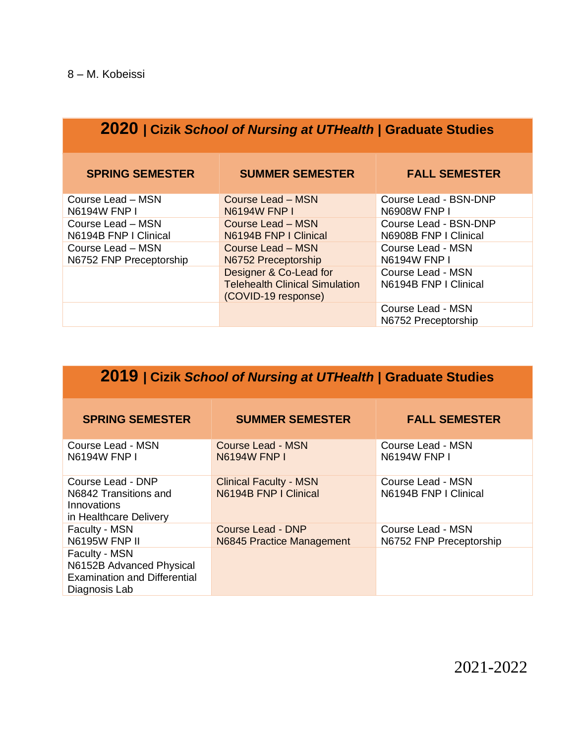| <b>2020</b>   Cizik School of Nursing at UTHealth   Graduate Studies |                                                                                        |                                                |  |
|----------------------------------------------------------------------|----------------------------------------------------------------------------------------|------------------------------------------------|--|
| <b>SPRING SEMESTER</b>                                               | <b>SUMMER SEMESTER</b>                                                                 | <b>FALL SEMESTER</b>                           |  |
| Course Lead – MSN<br><b>N6194W FNP I</b>                             | Course Lead – MSN<br><b>N6194W FNP I</b>                                               | Course Lead - BSN-DNP<br><b>N6908W FNP I</b>   |  |
| Course Lead – MSN<br>N6194B FNP I Clinical                           | Course Lead – MSN<br>N6194B FNP   Clinical                                             | Course Lead - BSN-DNP<br>N6908B FNP I Clinical |  |
| Course Lead - MSN<br>N6752 FNP Preceptorship                         | <b>Course Lead - MSN</b><br>N6752 Preceptorship                                        | Course Lead - MSN<br><b>N6194W FNP I</b>       |  |
|                                                                      | Designer & Co-Lead for<br><b>Telehealth Clinical Simulation</b><br>(COVID-19 response) | Course Lead - MSN<br>N6194B FNP I Clinical     |  |
|                                                                      |                                                                                        | Course Lead - MSN<br>N6752 Preceptorship       |  |

| 2019   Cizik School of Nursing at UTHealth   Graduate Studies                                     |                                                        |                                              |  |
|---------------------------------------------------------------------------------------------------|--------------------------------------------------------|----------------------------------------------|--|
| <b>SPRING SEMESTER</b>                                                                            | <b>SUMMER SEMESTER</b>                                 | <b>FALL SEMESTER</b>                         |  |
| Course Lead - MSN<br><b>N6194W FNP I</b>                                                          | Course Lead - MSN<br><b>N6194W FNP I</b>               | Course Lead - MSN<br><b>N6194W FNP L</b>     |  |
| Course Lead - DNP<br>N6842 Transitions and<br>Innovations<br>in Healthcare Delivery               | <b>Clinical Faculty - MSN</b><br>N6194B FNP   Clinical | Course Lead - MSN<br>N6194B FNP   Clinical   |  |
| Faculty - MSN<br><b>N6195W FNP II</b>                                                             | Course Lead - DNP<br>N6845 Practice Management         | Course Lead - MSN<br>N6752 FNP Preceptorship |  |
| Faculty - MSN<br>N6152B Advanced Physical<br><b>Examination and Differential</b><br>Diagnosis Lab |                                                        |                                              |  |